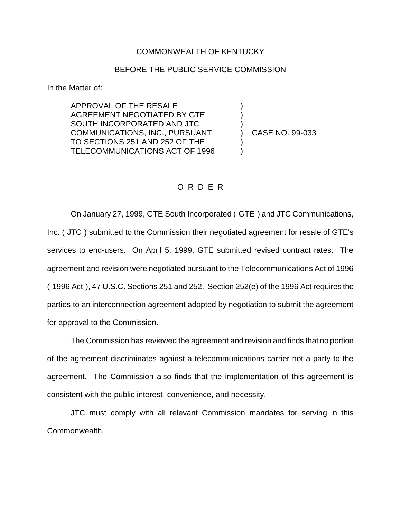## COMMONWEALTH OF KENTUCKY

## BEFORE THE PUBLIC SERVICE COMMISSION

In the Matter of:

APPROVAL OF THE RESALE AGREEMENT NEGOTIATED BY GTE SOUTH INCORPORATED AND JTC COMMUNICATIONS, INC., PURSUANT TO SECTIONS 251 AND 252 OF THE TELECOMMUNICATIONS ACT OF 1996

) CASE NO. 99-033

) ) )

) )

## O R D E R

On January 27, 1999, GTE South Incorporated ( GTE ) and JTC Communications, Inc. ( JTC ) submitted to the Commission their negotiated agreement for resale of GTE's services to end-users. On April 5, 1999, GTE submitted revised contract rates. The agreement and revision were negotiated pursuant to the Telecommunications Act of 1996 ( 1996 Act ), 47 U.S.C. Sections 251 and 252. Section 252(e) of the 1996 Act requires the parties to an interconnection agreement adopted by negotiation to submit the agreement for approval to the Commission.

The Commission has reviewed the agreement and revision and finds that no portion of the agreement discriminates against a telecommunications carrier not a party to the agreement. The Commission also finds that the implementation of this agreement is consistent with the public interest, convenience, and necessity.

JTC must comply with all relevant Commission mandates for serving in this Commonwealth.